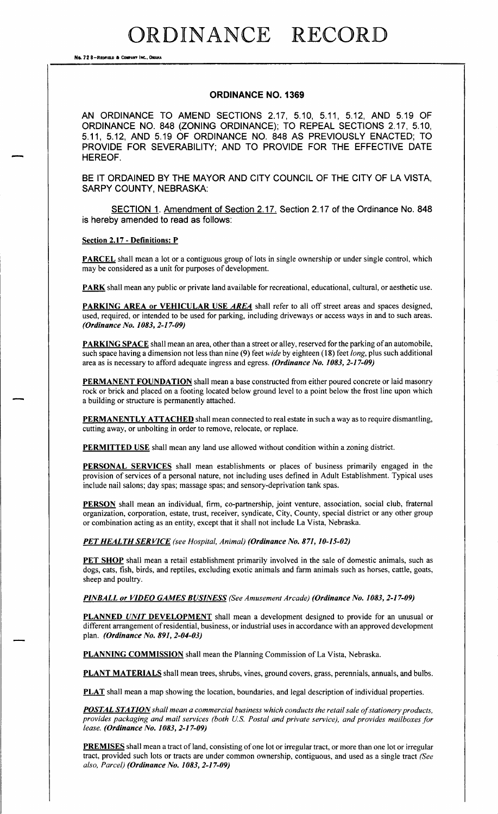No. 72 8-REDFIELD & COMPANY INC., OMAN

### ORDINANCE NO. 1369

AN ORDINANCE TO AMEND SECTIONS 2. 17, 5. 10, 5. 11, 5. 12, AND 5. 19 OF ORDINANCE NO. 848 (ZONING ORDINANCE); TO REPEAL SECTIONS 2.17, 5.10, 5. 11, 5. 12, AND 5. 19 OF ORDINANCE NO. 848 AS PREVIOUSLY ENACTED; TO PROVIDE FOR SEVERABILITY; AND TO PROVIDE FOR THE EFFECTIVE DATE HEREOF.

BE IT ORDAINED BY THE MAYOR AND CITY COUNCIL OF THE CITY OF LA VISTA, SARPY COUNTY, NEBRASKA:

SECTION 1. Amendment of Section 2. 17. Section 2. 17 of the Ordinance No. 848 is hereby amended to read as follows:

Section 2.17 - Definitions: P

PARCEL shall mean a lot or a contiguous group of lots in single ownership or under single control, which may be considered as <sup>a</sup> unit for purposes of development.

PARK shall mean any public or private land available for recreational, educational, cultural, or aesthetic use.

PARKING AREA or VEHICULAR USE AREA shall refer to all off street areas and spaces designed, used, required, or intended to be used for parking, including driveways or access ways in and to such areas. (Ordinance No. 1083, 2-17-09)

PARKING SPACE shall mean an area, other than <sup>a</sup> street or alley, reserved for the parking of an automobile, such space having a dimension not less than nine (9) feet wide by eighteen (18) feet long, plus such additional area as is necessary to afford adequate ingress and egress. (Ordinance No. 1083, 2-17-09)

PERMANENT FOUNDATION shall mean a base constructed from either poured concrete or laid masonry rock or brick and placed on a footing located below ground level to a point below the frost line upon which a building or structure is permanently attached.

PERMANENTLY ATTACHED shall mean connected to real estate in such a way as to require dismantling, cutting away, or unbolting in order to remove, relocate, or replace.

PERMITTED USE shall mean any land use allowed without condition within a zoning district.

PERSONAL SERVICES shall mean establishments or places of business primarily engaged in the provision of services of <sup>a</sup> personal nature, not including uses defined in Adult Establishment. Typical uses include nail salons; day spas; massage spas; and sensory- deprivation tank spas.

PERSON shall mean an individual, firm, co-partnership, joint venture, association, social club, fraternal organization, corporation, estate, trust, receiver, syndicate, City, County, special district or any other group or combination acting as an entity, except that it shall not include La Vista, Nebraska.

PET HEALTH SERVICE (see Hospital, Animal) (Ordinance No. 871, 10-15-02)

PET SHOP shall mean a retail establishment primarily involved in the sale of domestic animals, such as dogs, cats, fish, birds, and reptiles, excluding exotic animals and farm animals such as horses, cattle, goats, sheep and poultry.

PINBALL or VIDEO GAMES BUSINESS (See Amusement Arcade) (Ordinance No. 1083, 2-17-09)

PLANNED UNIT DEVELOPMENT shall mean a development designed to provide for an unusual or different arrangement of residential, business, or industrial uses in accordance with an approved development plan. (Ordinance No. 891, 2-04-03)

PLANNING COMMISSION shall mean the Planning Commission of La Vista, Nebraska.

**PLANT MATERIALS** shall mean trees, shrubs, vines, ground covers, grass, perennials, annuals, and bulbs.

PLAT shall mean a map showing the location, boundaries, and legal description of individual properties.

**POSTAL STATION** shall mean a commercial business which conducts the retail sale of stationery products, provides packaging and mail services ( both U.S. Postal and private service), and provides mailboxes for lease. (Ordinance No. 1083, 2-17-09)

PREMISES shall mean a tract of land, consisting of one lot or irregular tract, or more than one lot or irregular tract, provided such lots or tracts are under common ownership, contiguous, and used as a single tract (See also, Parcel) (Ordinance No. 1083, 2-17-09)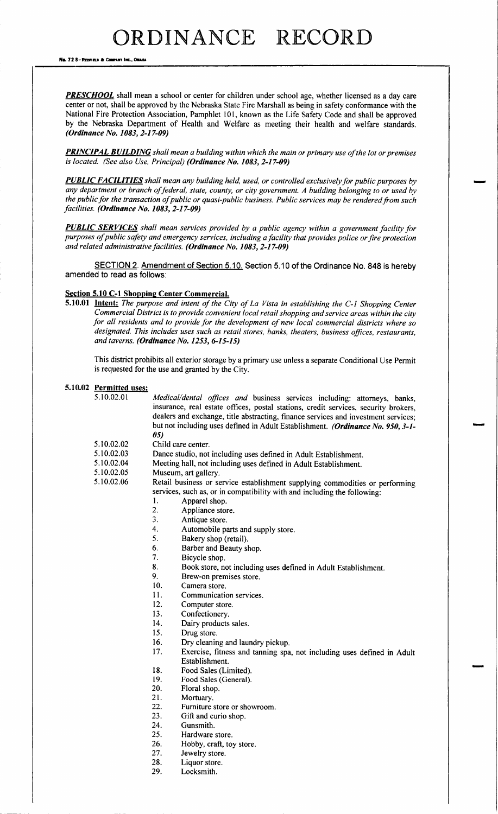No. 72 8-Reofield & Company Inc., Omaha

PRESCHOOL shall mean a school or center for children under school age, whether licensed as a day care center or not, shall be approved by the Nebraska State Fire Marshall as being in safety conformance with the National Fire Protection Association, Pamphlet 101, known as the Life Safety Code and shall be approved by the Nebraska Department of Health and Welfare as meeting their health and welfare standards. (Ordinance No. 1083, 2-17-09)

PRINCIPAL BUILDING shall mean a building within which the main or primary use of the lot or premises is located. (See also Use, Principal) (Ordinance No. 1083, 2-17-09)

**PUBLIC FACILITIES** shall mean any building held, used, or controlled exclusively for public purposes by any department or branch offederal, state, county, or city government. A building belonging to or used by the public for the transaction of public or quasi-public business. Public services may be rendered from such facilities. (Ordinance No. 1083, 2-17-09)

**PUBLIC SERVICES** shall mean services provided by a public agency within a government facility for purposes of public safety and emergency services, including a facility that provides police or fire protection and related administrative facilities. (Ordinance No. 1083, 2-17-09)

SECTION 2. Amendment of Section 5.10. Section 5.10 of the Ordinance No. 848 is hereby amended to read as follows:

### Section 5.10 C-1 Shopping Center Commercial.

5.10.01 Intent: The purpose and intent of the City of La Vista in establishing the C-1 Shopping Center Commercial District is to provide convenient local retail shopping and service areas within the city for all residents and to provide for the development of new local commercial districts where so designated. This includes uses such as retail stores, banks, theaters, business offices, restaurants, and taverns. (Ordinance No. 1253, 6-15-15)

This district prohibits all exterior storage by a primary use unless a separate Conditional Use Permit is requested for the use and granted by the City.

### 5.10.02 Permitted uses:

| 5.10.02.01 | Medical/dental offices and business services including: attorneys, banks,           |  |  |  |  |  |
|------------|-------------------------------------------------------------------------------------|--|--|--|--|--|
|            | insurance, real estate offices, postal stations, credit services, security brokers, |  |  |  |  |  |
|            | dealers and exchange, title abstracting, finance services and investment services;  |  |  |  |  |  |
|            | but not including uses defined in Adult Establishment. (Ordinance No. 950, 3-1-     |  |  |  |  |  |
|            | 05)                                                                                 |  |  |  |  |  |
| 5.10.02.02 | Child care center.                                                                  |  |  |  |  |  |
| 5.10.02.03 | Dance studio, not including uses defined in Adult Establishment.                    |  |  |  |  |  |
| 5.10.02.04 | Meeting hall, not including uses defined in Adult Establishment.                    |  |  |  |  |  |
| 5.10.02.05 | Museum, art gallery.                                                                |  |  |  |  |  |
| 5.10.02.06 | Retail business or service establishment supplying commodities or performing        |  |  |  |  |  |
|            | services, such as, or in compatibility with and including the following:            |  |  |  |  |  |
|            | 1.<br>Apparel shop.                                                                 |  |  |  |  |  |
|            | 2.<br>Appliance store.                                                              |  |  |  |  |  |
|            | 3.<br>Antique store.                                                                |  |  |  |  |  |
|            | 4.<br>Automobile parts and supply store.                                            |  |  |  |  |  |
|            | 5.<br>Bakery shop (retail).                                                         |  |  |  |  |  |
|            | 6.<br>Barber and Beauty shop.                                                       |  |  |  |  |  |
|            | 7.<br>Bicycle shop.                                                                 |  |  |  |  |  |
|            | 8.<br>Book store, not including uses defined in Adult Establishment.                |  |  |  |  |  |
|            | 9.<br>Brew-on premises store.                                                       |  |  |  |  |  |
|            | 10.<br>Camera store.                                                                |  |  |  |  |  |
|            | 11.<br>Communication services.                                                      |  |  |  |  |  |
|            | 12.<br>Computer store.                                                              |  |  |  |  |  |
|            | Confectionery.<br>13.                                                               |  |  |  |  |  |
|            | 1 A<br>Daim canada ata asta a                                                       |  |  |  |  |  |

- 14. Dairy products sales.<br>15. Drug store.
- 
- 15. Drug store.<br>16. Dry cleaning
- 16. Dry cleaning and laundry pickup.<br>17. Exercise, fitness and tanning spa Exercise, fitness and tanning spa, not including uses defined in Adult
- Establishment.
- 18. Food Sales (Limited).
- 19. Food Sales (General).
- 20. Floral shop.<br>21. Mortuary.
- 21. Mortuary.<br>22. Furniture
- Furniture store or showroom.
- 23. Gift and curio shop.<br>24. Gunsmith.
- Gunsmith.
- 25. Hardware store.
- 26. Hobby, craft, toy store.<br>27. Jewelry store.
- 27. Jewelry store.<br>28. Liquor store.
- Liquor store.
- 29. Locksmith.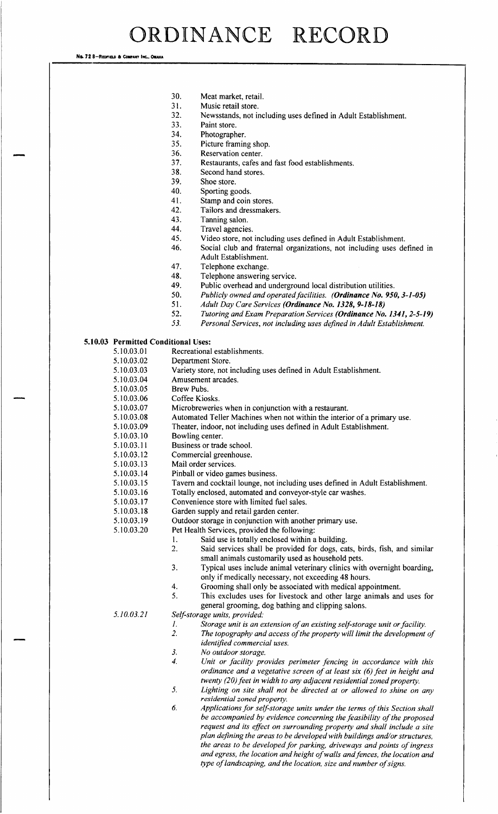No. 72 8-REDFIELD & COMPANY INC., OMAHA

- 30. Meat market, retail.
- 31. Music retail store.
- 32. Newsstands, not including uses defined in Adult Establishment.
	- Paint store.
- 34. Photographer.
- 35. Picture framing shop.<br>36. Reservation center.
	- Reservation center.
- 37. Restaurants, cafes and fast food establishments.
	- Second hand stores.
- 39. Shoe store.<br>40. Sporting go
- 40. Sporting goods.<br>41. Stamp and coin
- 41. Stamp and coin stores.<br>42. Tailors and dressmake
- Tailors and dressmakers.
- 43. Tanning salon.<br>44. Travel agencie
- Travel agencies.
- 45. Video store, not including uses defined in Adult Establishment.<br>46. Social club and fraternal organizations, not including uses de
- Social club and fraternal organizations, not including uses defined in Adult Establishment.
- 47. Telephone exchange.
- 48. Telephone answering service.<br>49. Public overhead and undergro
- Public overhead and underground local distribution utilities.
- 50. Publicly owned and operated facilities. (**Ordinance No. 950, 3-1-05)**<br>51. Adult Day Care Services (**Ordinance No. 1328, 9-18-18**)
- 51. Adult Day Care Services (**Ordinance No. 1328, 9-18-18)**<br>52. Tutoring and Exam Preparation Services (**Ordinance No.**
- 52. Tutoring and Exam Preparation Services (**Ordinance No. 1341, 2-5-19)**<br>53. Personal Services, not including uses defined in Adult Establishment.
- Personal Services, not including uses defined in Adult Establishment.

#### 5.10.03 Permitted Conditional Uses:

5. 10. 03. 01 Recreational establishments.

- 5.10.03.02 Department Store.
- 5. 10.03.03 Variety store, not including uses defined in Adult Establishment.<br>5. 10.03.04 Amusement arcades.
- Amusement arcades.
- 5.10.03.05 Brew Pubs.
- 5.10.03.06 Coffee Kiosks.
- 5. 10. 03. 07 Microbreweries when in conjunction with a restaurant.
- 5. 10. 03. 08 Automated Teller Machines when not within the interior of a primary use.<br>5. 10. 03. 09 Theater, indoor, not including uses defined in Adult Establishment.
- 5. 10.03.09 Theater, indoor, not including uses defined in Adult Establishment.<br>5. 10.03.10 Bowling center.
- 
- 5.10.03.10 Bowling center.<br>5.10.03.11 Business or trad
- 5.10.03.11 Business or trade school.<br>5.10.03.12 Commercial greenhouse.
- 5.10.03.12 Commercial greenhouse.<br>5.10.03.13 Mail order services. Mail order services.
- 5.10.03.14 Pinball or video games business.<br>5.10.03.15 Tavern and cocktail lounge, not i
- 5. 10. 03. 15 Tavern and cocktail lounge, not including uses defined in Adult Establishment.<br>5. 10. 03. 16 Totally enclosed, automated and conveyor-style car washes.
- 5.10.03.16 Totally enclosed, automated and conveyor-style car washes.<br>5.10.03.17 Convenience store with limited fuel sales.
- Convenience store with limited fuel sales.
- 5. 10.03. 18 Garden supply and retail garden center.<br>5. 10.03. 19 Outdoor storage in conjunction with and
- 5. 10.03. 19 Outdoor storage in conjunction with another primary use.<br>5.10.03. 20 Pet Health Services, provided the following:
- Pet Health Services, provided the following:<br>1. Said use is totally enclosed within a
	- 1. Said use is totally enclosed within a building.<br>2. Said services shall be provided for dogs. ca
		- Said services shall be provided for dogs, cats, birds, fish, and similar small animals customarily used as household pets.
		- 3. Typical uses include animal veterinary clinics with overnight boarding, only if medically necessary, not exceeding <sup>48</sup> hours.
		-
		- 4. Grooming shall only be associated with medical appointment.<br>5. This excludes uses for livestock and other large animals and This excludes uses for livestock and other large animals and uses for general grooming, dog bathing and clipping salons.

## 5. 10.03.21 Self-storage units, provided:<br>1. Storage unit is an e

- I. Storage unit is an extension of an existing self-storage unit or facility.<br>2. The topography and access of the property will limit the development
	- The topography and access of the property will limit the development of identified commercial uses.
- 3. No outdoor storage.
- 4. Unit or facility provides perimeter fencing in accordance with this ordinance and a vegetative screen of at least six  $(6)$  feet in height and twenty  $(20)$  feet in width to any adjacent residential zoned property.
- 5. Lighting on site shall not be directed at or allowed to shine on any residential zoned property.
- 6. Applications for self-storage units under the terms of this Section shall be accompanied by evidence concerning the feasibility of the proposed request and its effect on surrounding property and shall include a site plan defining the areas to be developed with buildings and/or structures, the areas to be developed for parking, driveways and points of ingress and egress, the location and height of walls and fences, the location and type of landscaping, and the location, size and number of signs.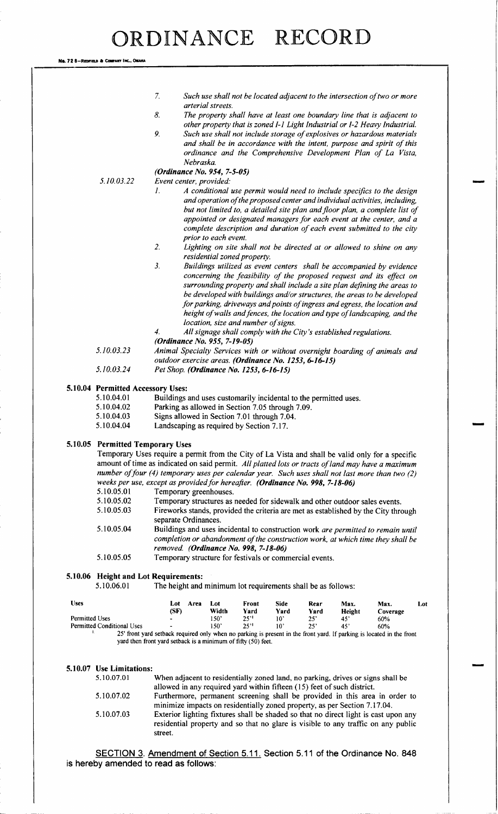No. 72 B-Redfield & Company Inc., Omaha

| <b>Uses</b><br><b>Permitted Uses</b> |                                                    | (SF)                                                                                                                                                                                                  | 150'                                                                                                                 | 25''          | $10^{\circ}$ | $25^{\circ}$ | 45'            | 60%                                                                                                                                                                 |     |
|--------------------------------------|----------------------------------------------------|-------------------------------------------------------------------------------------------------------------------------------------------------------------------------------------------------------|----------------------------------------------------------------------------------------------------------------------|---------------|--------------|--------------|----------------|---------------------------------------------------------------------------------------------------------------------------------------------------------------------|-----|
|                                      |                                                    | Lot                                                                                                                                                                                                   | Area<br>Lot<br>Width                                                                                                 | Front<br>Yard | Side<br>Yard | Rear<br>Yard | Max.<br>Height | Max.<br>Coverage                                                                                                                                                    | Lot |
|                                      | 5.10.06 Height and Lot Requirements:<br>5.10.06.01 |                                                                                                                                                                                                       | The height and minimum lot requirements shall be as follows:                                                         |               |              |              |                |                                                                                                                                                                     |     |
|                                      | 5.10.05.05                                         |                                                                                                                                                                                                       | Temporary structure for festivals or commercial events.                                                              |               |              |              |                |                                                                                                                                                                     |     |
|                                      |                                                    |                                                                                                                                                                                                       | removed. (Ordinance No. 998, 7-18-06)                                                                                |               |              |              |                |                                                                                                                                                                     |     |
|                                      | 5.10.05.04                                         |                                                                                                                                                                                                       |                                                                                                                      |               |              |              |                | Buildings and uses incidental to construction work are permitted to remain until<br>completion or abandonment of the construction work, at which time they shall be |     |
|                                      |                                                    | separate Ordinances.                                                                                                                                                                                  |                                                                                                                      |               |              |              |                |                                                                                                                                                                     |     |
|                                      | 5.10.05.03                                         |                                                                                                                                                                                                       |                                                                                                                      |               |              |              |                | Fireworks stands, provided the criteria are met as established by the City through                                                                                  |     |
|                                      | 5.10.05.02                                         |                                                                                                                                                                                                       | Temporary structures as needed for sidewalk and other outdoor sales events.                                          |               |              |              |                |                                                                                                                                                                     |     |
|                                      | 5.10.05.01                                         |                                                                                                                                                                                                       | Temporary greenhouses.                                                                                               |               |              |              |                |                                                                                                                                                                     |     |
|                                      |                                                    | weeks per use, except as provided for hereafter. (Ordinance No. 998, 7-18-06)                                                                                                                         |                                                                                                                      |               |              |              |                |                                                                                                                                                                     |     |
|                                      |                                                    | number of four (4) temporary uses per calendar year. Such uses shall not last more than two (2)                                                                                                       |                                                                                                                      |               |              |              |                |                                                                                                                                                                     |     |
|                                      |                                                    | Temporary Uses require a permit from the City of La Vista and shall be valid only for a specific<br>amount of time as indicated on said permit. All platted lots or tracts of land may have a maximum |                                                                                                                      |               |              |              |                |                                                                                                                                                                     |     |
|                                      | 5.10.05 Permitted Temporary Uses                   |                                                                                                                                                                                                       |                                                                                                                      |               |              |              |                |                                                                                                                                                                     |     |
|                                      |                                                    |                                                                                                                                                                                                       |                                                                                                                      |               |              |              |                |                                                                                                                                                                     |     |
|                                      | 5.10.04.04                                         |                                                                                                                                                                                                       | Landscaping as required by Section 7.17.                                                                             |               |              |              |                |                                                                                                                                                                     |     |
|                                      | 5.10.04.03                                         |                                                                                                                                                                                                       | Signs allowed in Section 7.01 through 7.04.                                                                          |               |              |              |                |                                                                                                                                                                     |     |
|                                      | 5.10.04.02                                         |                                                                                                                                                                                                       | Buildings and uses customarily incidental to the permitted uses.<br>Parking as allowed in Section 7.05 through 7.09. |               |              |              |                |                                                                                                                                                                     |     |
|                                      | 5.10.04 Permitted Accessory Uses:<br>5.10.04.01    |                                                                                                                                                                                                       |                                                                                                                      |               |              |              |                |                                                                                                                                                                     |     |
|                                      |                                                    |                                                                                                                                                                                                       |                                                                                                                      |               |              |              |                |                                                                                                                                                                     |     |
|                                      | 5.10.03.24                                         |                                                                                                                                                                                                       | outdoor exercise areas. (Ordinance No. 1253, 6-16-15)<br>Pet Shop. (Ordinance No. 1253, 6-16-15)                     |               |              |              |                |                                                                                                                                                                     |     |
|                                      | 5.10.03.23                                         |                                                                                                                                                                                                       |                                                                                                                      |               |              |              |                | Animal Specialty Services with or without overnight boarding of animals and                                                                                         |     |
|                                      |                                                    |                                                                                                                                                                                                       | (Ordinance No. 955, 7-19-05)                                                                                         |               |              |              |                |                                                                                                                                                                     |     |
|                                      |                                                    | 4.                                                                                                                                                                                                    | All signage shall comply with the City's established regulations.                                                    |               |              |              |                |                                                                                                                                                                     |     |
|                                      |                                                    |                                                                                                                                                                                                       | location, size and number of signs.                                                                                  |               |              |              |                | height of walls and fences, the location and type of landscaping, and the                                                                                           |     |
|                                      |                                                    |                                                                                                                                                                                                       |                                                                                                                      |               |              |              |                | for parking, driveways and points of ingress and egress, the location and                                                                                           |     |
|                                      |                                                    |                                                                                                                                                                                                       |                                                                                                                      |               |              |              |                | be developed with buildings and/or structures, the areas to be developed                                                                                            |     |
|                                      |                                                    |                                                                                                                                                                                                       |                                                                                                                      |               |              |              |                | surrounding property and shall include a site plan defining the areas to                                                                                            |     |
|                                      |                                                    |                                                                                                                                                                                                       |                                                                                                                      |               |              |              |                | concerning the feasibility of the proposed request and its effect on                                                                                                |     |
|                                      |                                                    | 3.                                                                                                                                                                                                    | residential zoned property.                                                                                          |               |              |              |                | Buildings utilized as event centers shall be accompanied by evidence                                                                                                |     |
|                                      |                                                    | 2.                                                                                                                                                                                                    |                                                                                                                      |               |              |              |                | Lighting on site shall not be directed at or allowed to shine on any                                                                                                |     |
|                                      |                                                    |                                                                                                                                                                                                       | prior to each event.                                                                                                 |               |              |              |                |                                                                                                                                                                     |     |
|                                      |                                                    |                                                                                                                                                                                                       |                                                                                                                      |               |              |              |                | complete description and duration of each event submitted to the city                                                                                               |     |
|                                      |                                                    |                                                                                                                                                                                                       |                                                                                                                      |               |              |              |                | but not limited to, a detailed site plan and floor plan, a complete list of<br>appointed or designated managers for each event at the center, and a                 |     |
|                                      |                                                    |                                                                                                                                                                                                       |                                                                                                                      |               |              |              |                | and operation of the proposed center and individual activities, including,                                                                                          |     |
|                                      |                                                    | 1.                                                                                                                                                                                                    |                                                                                                                      |               |              |              |                | A conditional use permit would need to include specifics to the design                                                                                              |     |
|                                      | 5.10.03.22                                         |                                                                                                                                                                                                       | Event center, provided:                                                                                              |               |              |              |                |                                                                                                                                                                     |     |
|                                      |                                                    |                                                                                                                                                                                                       | (Ordinance No. 954, 7-5-05)                                                                                          |               |              |              |                |                                                                                                                                                                     |     |
|                                      |                                                    |                                                                                                                                                                                                       | Nebraska.                                                                                                            |               |              |              |                |                                                                                                                                                                     |     |
|                                      |                                                    |                                                                                                                                                                                                       |                                                                                                                      |               |              |              |                | and shall be in accordance with the intent, purpose and spirit of this<br>ordinance and the Comprehensive Development Plan of La Vista,                             |     |
|                                      |                                                    | 9.                                                                                                                                                                                                    |                                                                                                                      |               |              |              |                | Such use shall not include storage of explosives or hazardous materials                                                                                             |     |
|                                      |                                                    |                                                                                                                                                                                                       |                                                                                                                      |               |              |              |                | other property that is zoned I-1 Light Industrial or I-2 Heavy Industrial.                                                                                          |     |
|                                      |                                                    | 8.                                                                                                                                                                                                    | arterial streets.                                                                                                    |               |              |              |                | The property shall have at least one boundary line that is adjacent to                                                                                              |     |
|                                      |                                                    |                                                                                                                                                                                                       |                                                                                                                      |               |              |              |                |                                                                                                                                                                     |     |

## 5.10.07 Use Limitations:

| 5.10.07.01 | When adjacent to residentially zoned land, no parking, drives or signs shall be     |
|------------|-------------------------------------------------------------------------------------|
|            | allowed in any required yard within fifteen (15) feet of such district.             |
| 5.10.07.02 | Furthermore, permanent screening shall be provided in this area in order to         |
|            | minimize impacts on residentially zoned property, as per Section 7.17.04.           |
| 5.10.07.03 | Exterior lighting fixtures shall be shaded so that no direct light is cast upon any |
|            | residential property and so that no glare is visible to any traffic on any public   |
|            | street.                                                                             |

SECTION 3. Amendment of Section 5. 11. Section 5. 11 of the Ordinance No. 848 is hereby amended to read as follows: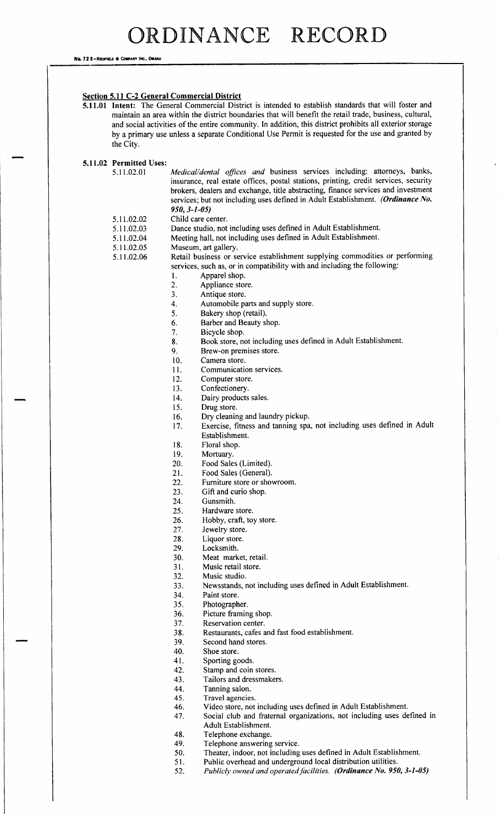Na. 72 8-REDFIELD & COMPANY INC., OMAHA

### Section 5.11 C-2 General Commercial District

- 5. 11. <sup>01</sup> Intent: The General Commercial District is intended to establish standards that will foster and maintain an area within the district boundaries that will benefit the retail trade, business, cultural, and social activities of the entire community. In addition, this district prohibits all exterior storage by a primary use unless a separate Conditional Use Permit is requested for the use and granted by the City.
- 5.11.02 Permitted Uses:

5.11.02.01 Medical/dental offices and business services including: attorneys, banks, insurance, real estate offices, postal stations, printing, credit services, security brokers, dealers and exchange, title abstracting, finance services and investment services; but not including uses defined in Adult Establishment. (Ordinance No.  $950, 3 - 1 - 05$ 

- 5.11.02.02 Child care center.
- 5. 11. 02. 03 Dance studio, not including uses defined in Adult Establishment.
- 5. 11.02.04 Meeting hall, not including uses defined in Adult Establishment.<br>5. 11.02.05 Museum, art gallery.
- 5.11.02.05 Museum, art gallery.<br>5.11.02.06 Retail business or se
- 
- Retail business or service establishment supplying commodities or performing services, such as, or in compatibility with and including the following:
	- 1. Apparel shop.<br>2. Appliance stop
	- 2. Appliance store.<br>3. Antique store.
	- Antique store.
	- 4. Automobile parts and supply store.<br>5. Bakery shop (retail).
	- Bakery shop (retail).
	- 6. Barber and Beauty shop.<br>7 Bicycle shop.
	- 7. Bicycle shop.<br>8. Book store, no
	- 8. Book store, not including uses defined in Adult Establishment.
	- 9. Brew-on premises store.<br>10. Camera store.
	- Camera store.
	- 11. Communication services.
	- 12. Computer store.
	- 13. Confectionery.
	- 14. Dairy products sales.<br>15. Drug store.
	- Drug store.
	-
	- 16. Dry cleaning and laundry pickup.<br>17. Exercise, fitness and tanning spa Exercise, fitness and tanning spa, not including uses defined in Adult Establishment.
	- 18. Floral shop.<br>19. Mortuary.
	- 19. Mortuary.<br>20. Food Sale:
	- Food Sales (Limited).
	- 21. Food Sales (General).
	- 22. Furniture store or showroom.
	- 23. Gift and curio shop.
	- 24. Gunsmith.
	- 25. Hardware store.
	- 26. Hobby, craft, toy store.<br>27. Jewelry store.
	- Jewelry store.
	- 28. Liquor store.
	- 29. Locksmith.
	- 30. Meat market, retail.
	- 31. Music retail store.
	- 32. Music studio.
	- 33. Newsstands, not including uses defined in Adult Establishment.
	- Paint store.
	- 35. Photographer.
	-
	- 36. Picture framing shop.<br>37. Reservation center. Reservation center.
	- 38. Restaurants, cafes and fast food establishment.
	- 39. Second hand stores.
	- 40. Shoe store.
	-
	- 41. Sporting goods.<br>42. Stamp and coin 42. Stamp and coin stores.<br>43. Tailors and dressmaker
	- Tailors and dressmakers.
	-
	- 44. Tanning salon.<br>45. Travel agencie Travel agencies.
	-
	- 46. Video store, not including uses defined in Adult Establishment.<br>47. Social club and fraternal organizations, not including uses de Social club and fraternal organizations, not including uses defined in Adult Establishment.
	- 48. Telephone exchange.
	- 49. Telephone answering service.<br>50. Theater, indoor, not including
	- 50. Theater, indoor, not including uses defined in Adult Establishment.<br>51. Public overhead and underground local distribution utilities.
		- Public overhead and underground local distribution utilities.
	- 52. Publicly owned and operated facilities. (Ordinance No. 950, 3-1-05)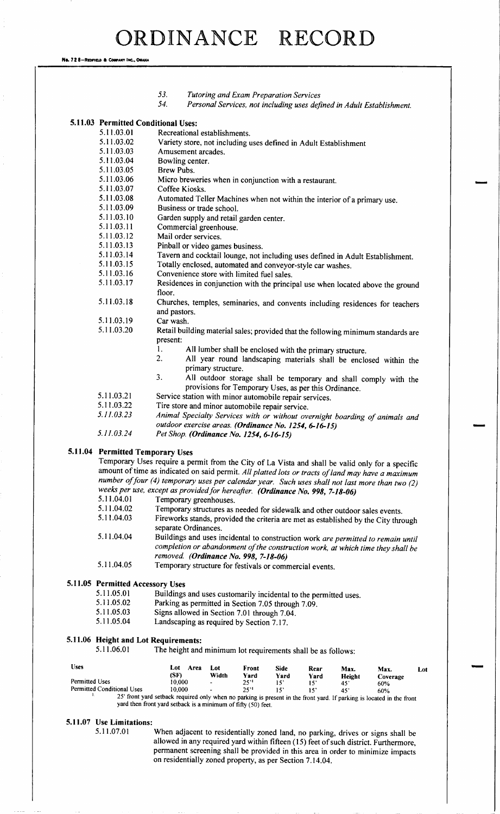No. 72 8-REDFIELD & COMPANY INC., OMAHA

|                |                                   | 53.<br>Tutoring and Exam Preparation Services<br>54.<br>Personal Services, not including uses defined in Adult Establishment.                                                                                                                                                                                                                |
|----------------|-----------------------------------|----------------------------------------------------------------------------------------------------------------------------------------------------------------------------------------------------------------------------------------------------------------------------------------------------------------------------------------------|
|                |                                   | 5.11.03 Permitted Conditional Uses:                                                                                                                                                                                                                                                                                                          |
|                | 5.11.03.01                        | Recreational establishments.                                                                                                                                                                                                                                                                                                                 |
|                | 5.11.03.02                        | Variety store, not including uses defined in Adult Establishment                                                                                                                                                                                                                                                                             |
|                | 5.11.03.03                        | Amusement arcades.                                                                                                                                                                                                                                                                                                                           |
|                | 5.11.03.04                        | Bowling center.                                                                                                                                                                                                                                                                                                                              |
|                | 5.11.03.05                        | <b>Brew Pubs.</b>                                                                                                                                                                                                                                                                                                                            |
|                | 5.11.03.06                        | Micro breweries when in conjunction with a restaurant.                                                                                                                                                                                                                                                                                       |
|                | 5.11.03.07                        | Coffee Kiosks.                                                                                                                                                                                                                                                                                                                               |
|                | 5.11.03.08                        | Automated Teller Machines when not within the interior of a primary use.                                                                                                                                                                                                                                                                     |
|                | 5.11.03.09                        | Business or trade school.                                                                                                                                                                                                                                                                                                                    |
|                | 5.11.03.10                        | Garden supply and retail garden center.                                                                                                                                                                                                                                                                                                      |
|                | 5.11.03.11                        | Commercial greenhouse.                                                                                                                                                                                                                                                                                                                       |
|                | 5.11.03.12                        | Mail order services.                                                                                                                                                                                                                                                                                                                         |
|                | 5.11.03.13                        | Pinball or video games business.                                                                                                                                                                                                                                                                                                             |
|                | 5.11.03.14                        | Tavern and cocktail lounge, not including uses defined in Adult Establishment.                                                                                                                                                                                                                                                               |
|                | 5.11.03.15                        | Totally enclosed, automated and conveyor-style car washes.                                                                                                                                                                                                                                                                                   |
|                | 5.11.03.16                        | Convenience store with limited fuel sales.                                                                                                                                                                                                                                                                                                   |
|                | 5.11.03.17                        | Residences in conjunction with the principal use when located above the ground                                                                                                                                                                                                                                                               |
|                |                                   | floor.                                                                                                                                                                                                                                                                                                                                       |
|                | 5.11.03.18                        | Churches, temples, seminaries, and convents including residences for teachers<br>and pastors.                                                                                                                                                                                                                                                |
|                | 5.11.03.19                        | Car wash.                                                                                                                                                                                                                                                                                                                                    |
|                | 5.11.03.20                        | Retail building material sales; provided that the following minimum standards are<br>present:                                                                                                                                                                                                                                                |
|                |                                   | 1.                                                                                                                                                                                                                                                                                                                                           |
|                |                                   | All lumber shall be enclosed with the primary structure.<br>$\overline{2}$ .                                                                                                                                                                                                                                                                 |
|                |                                   | All year round landscaping materials shall be enclosed within the                                                                                                                                                                                                                                                                            |
|                |                                   | primary structure.                                                                                                                                                                                                                                                                                                                           |
|                |                                   | 3.<br>All outdoor storage shall be temporary and shall comply with the                                                                                                                                                                                                                                                                       |
|                |                                   | provisions for Temporary Uses, as per this Ordinance.                                                                                                                                                                                                                                                                                        |
|                | 5.11.03.21                        | Service station with minor automobile repair services.                                                                                                                                                                                                                                                                                       |
|                | 5.11.03.22                        | Tire store and minor automobile repair service.                                                                                                                                                                                                                                                                                              |
|                | 5.11.03.23                        | Animal Specialty Services with or without overnight boarding of animals and                                                                                                                                                                                                                                                                  |
|                |                                   | outdoor exercise areas. (Ordinance No. 1254, 6-16-15)                                                                                                                                                                                                                                                                                        |
|                | 5.11.03.24                        | Pet Shop. (Ordinance No. 1254, 6-16-15)                                                                                                                                                                                                                                                                                                      |
|                |                                   | 5.11.04 Permitted Temporary Uses<br>Temporary Uses require a permit from the City of La Vista and shall be valid only for a specific<br>amount of time as indicated on said permit. All platted lots or tracts of land may have a maximum<br>number of four (4) temporary uses per calendar year. Such uses shall not last more than two (2) |
|                |                                   | weeks per use, except as provided for hereafter. (Ordinance No. 998, 7-18-06)                                                                                                                                                                                                                                                                |
|                | 5.11.04.01                        | Temporary greenhouses.                                                                                                                                                                                                                                                                                                                       |
|                | 5.11.04.02                        | Temporary structures as needed for sidewalk and other outdoor sales events.                                                                                                                                                                                                                                                                  |
|                | 5.11.04.03                        | Fireworks stands, provided the criteria are met as established by the City through                                                                                                                                                                                                                                                           |
|                |                                   | separate Ordinances.                                                                                                                                                                                                                                                                                                                         |
|                | 5.11.04.04                        | Buildings and uses incidental to construction work are permitted to remain until                                                                                                                                                                                                                                                             |
|                |                                   | completion or abandonment of the construction work, at which time they shall be                                                                                                                                                                                                                                                              |
|                |                                   | removed. (Ordinance No. 998, 7-18-06)                                                                                                                                                                                                                                                                                                        |
|                | 5.11.04.05                        | Temporary structure for festivals or commercial events.                                                                                                                                                                                                                                                                                      |
|                |                                   |                                                                                                                                                                                                                                                                                                                                              |
|                | 5.11.05 Permitted Accessory Uses  |                                                                                                                                                                                                                                                                                                                                              |
|                | 5.11.05.01                        | Buildings and uses customarily incidental to the permitted uses.                                                                                                                                                                                                                                                                             |
|                | 5.11.05.02                        | Parking as permitted in Section 7.05 through 7.09.                                                                                                                                                                                                                                                                                           |
|                | 5.11.05.03                        | Signs allowed in Section 7.01 through 7.04.                                                                                                                                                                                                                                                                                                  |
|                | 5.11.05.04                        | Landscaping as required by Section 7.17.                                                                                                                                                                                                                                                                                                     |
|                |                                   | 5.11.06 Height and Lot Requirements:                                                                                                                                                                                                                                                                                                         |
|                | 5.11.06.01                        | The height and minimum lot requirements shall be as follows:                                                                                                                                                                                                                                                                                 |
|                |                                   |                                                                                                                                                                                                                                                                                                                                              |
| <b>Uses</b>    |                                   | Lot Area<br>Lot<br>Front<br><b>Side</b><br>Rear<br>Max.<br>Max.<br>Lot<br>(SF)<br>Width<br>Yard<br>Yard                                                                                                                                                                                                                                      |
| Permitted Uses |                                   | Yard<br>Height<br>Coverage<br>10,000<br>25''<br>15 <sup>7</sup><br>$15^\circ$<br>$45^{\circ}$<br>60%                                                                                                                                                                                                                                         |
|                | <b>Permitted Conditional Uses</b> | 10,000<br>25''<br>15 <sup>2</sup><br>$15^\circ$<br>45'<br>60%                                                                                                                                                                                                                                                                                |
|                | л.                                | 25' front yard setback required only when no parking is present in the front yard. If parking is located in the front                                                                                                                                                                                                                        |
|                |                                   | yard then front yard setback is a minimum of fifty (50) feet.                                                                                                                                                                                                                                                                                |
|                | 5.11.07 Use Limitations:          |                                                                                                                                                                                                                                                                                                                                              |
|                | 5.11.07.01                        | When adjacent to residentially zoned land, no parking, drives or signs shall be                                                                                                                                                                                                                                                              |
|                |                                   | allowed in any required yard within fifteen (15) feet of such district. Furthermore,<br>permanent screening shall be provided in this area in order to minimize impacts                                                                                                                                                                      |

on residentially zoned property, as per Section 7. 14. 04.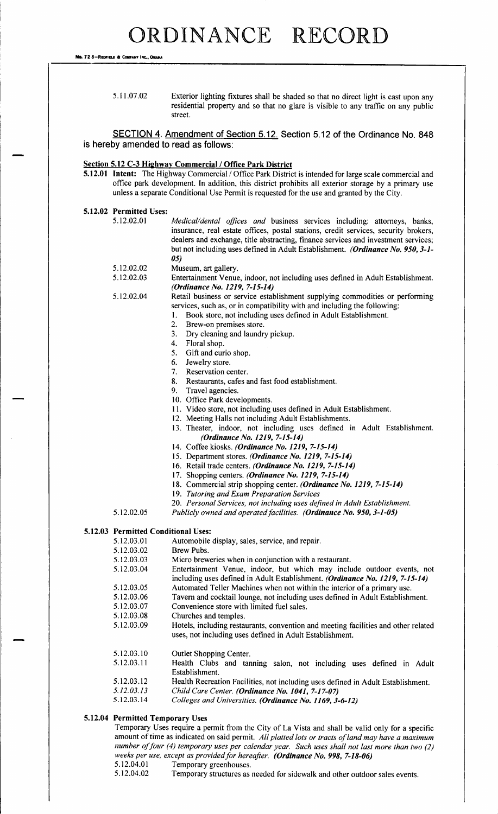No. 72 8-REDFIELD & COMPANY INC.

5.11.07.02 Exterior lighting fixtures shall be shaded so that no direct light is cast upon any residential property and so that no glare is visible to any traffic on any public street.

SECTION 4. Amendment of Section 5. 12. Section 5. 12 of the Ordinance No. 848 is hereby amended to read as follows:

### Section 5.12 C-3 Highway Commercial / Office Park District

5. 12. <sup>01</sup> Intent: The Highway Commercial/ Office Park District is intended for large scale commercial and office park development. In addition, this district prohibits all exterior storage by a primary use unless a separate Conditional Use Permit is requested for the use and granted by the City.

#### 5. 12. 02 Permitted Uses:

- 5.12.02.01 Medical/dental offices and business services including: attorneys, banks, insurance, real estate offices, postal stations, credit services, security brokers, dealers and exchange, title abstracting, finance services and investment services; but not including uses defined in Adult Establishment. (Ordinance No. 950, 3-1-05)
	-
	- 5.12.02.02 Museum, art gallery.<br>5.12.02.03 Entertainment Venue Entertainment Venue, indoor, not including uses defined in Adult Establishment. (Ordinance No. 1219, 7-15-14)

5. 12. 02. 04 Retail business or service establishment supplying commodities or performing

- services, such as, or in compatibility with and including the following:<br>1. Book store, not including uses defined in Adult Establishment.
	- 1. Book store, not including uses defined in Adult Establishment.
	- 2. Brew-on premises store.<br>3. Drv cleaning and laundr
	- 3. Dry cleaning and laundry pickup.<br>4. Floral shop.
	-
	- 4. Floral shop.<br>5. Gift and cur 5. Gift and curio shop.<br>6. Jewelry store.
	-
	- 6. Jewelry store.<br>7. Reservation ce Reservation center.
	- 8. Restaurants, cafes and fast food establishment.
	- 9. Travel agencies.
	- 10. Office Park developments.
	- 11. Video store, not including uses defined in Adult Establishment.
	- 12. Meeting Halls not including Adult Establishments.
	- 13. Theater, indoor, not including uses defined in Adult Establishment. (Ordinance No. 1219, 7-15-14)
	- 14. Coffee kiosks. (Ordinance No. 1219, 7-15-14)
	- 15. Department stores. (Ordinance No. 1219, 7-15-14)
	- 16. Retail trade centers. (Ordinance No. 1219, 7-15-14)
	- 17. Shopping centers. (Ordinance No. 1219, 7-15-14)
	- 18. Commercial strip shopping center. (Ordinance No. 1219, 7-15-14)
	- 19. Tutoring and Exam Preparation Services
	- 20. Personal Services, not including uses defined in Adult Establishment.
- 5.12.02.05 Publicly owned and operated facilities. (Ordinance No. 950, 3-1-05)

### 5. 12. 03 Permitted Conditional Uses:

5. 12. 03. 01 Automobile display, sales, service, and repair.<br>5. 12. 03. 02 Brew Pubs. 5. 12. 03. 02 5. 12. 03. 03 Micro breweries when in conjunction with a restaurant. 5. 12. 03. 04 Entertainment Venue, indoor, but which may include outdoor events, not including uses defined in Adult Establishment. (Ordinance No. 1219, 7-15-14) 5.12.03.05 Automated Teller Machines when not within the interior of a primary use.<br>5.12.03.06 Tavern and cocktail lounge, not including uses defined in Adult Establishn 5. 12. 03. 06 Tavern and cocktail lounge, not including uses defined in Adult Establishment.<br>5. 12. 03. 07 Convenience store with limited fuel sales. Convenience store with limited fuel sales. 5. 12. 03. 08 Churches and temples. 5. 12. 03. 09 Hotels, including restaurants, convention and meeting facilities and other related uses, not including uses defined in Adult Establishment. 5.12.03.10 Outlet Shopping Center.<br>5.12.03.11 Health Clubs and tar Health Clubs and tanning salon, not including uses defined in Adult Establishment. 5. 12. 03. 12 Health Recreation Facilities, not including uses defined in Adult Establishment.<br>5. 12. 03. 13 Child Care Center. (Ordinance No. 1041. 7-17-07) 5. 12. 03. 13 Child Care Center. (Ordinance No. 1041, 7-17-07)<br>5. 12. 03. 14 Colleges and Universities. (Ordinance No. 1169. 3-Colleges and Universities. (Ordinance No. 1169, 3-6-12)

### 5. 12. 04 Permitted Temporary Uses

Temporary Uses require <sup>a</sup> permit from the City of La Vista and shall be valid only for a specific amount of time as indicated on said permit. All platted lots or tracts of land may have a maximum number of four (4) temporary uses per calendar year. Such uses shall not last more than two  $(2)$ weeks per use, except as provided for hereafter. (**Ordinance No. 998, 7-18-06)**<br>5.12.04.01 – Temporary greenhouses

- 5.12.04.01 Temporary greenhouses.<br>5.12.04.02 Temporary structures as
- Temporary structures as needed for sidewalk and other outdoor sales events.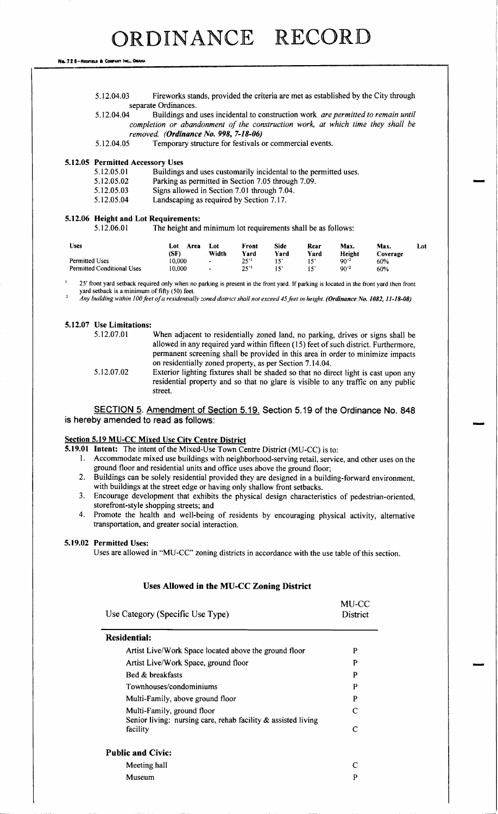Na. 72 8-Reofield & Company INC., OMAHA

| 5.12.04.03 | Fireworks stands, provided the criteria are met as established by the City through |
|------------|------------------------------------------------------------------------------------|
|            | separate Ordinances.                                                               |

5.12.04.04 Buildings and uses incidental to construction work are permitted to remain until completion or abandonment of the construction work, at which time they shall be removed. (Ordinance No. 998, 7-18-06)<br>5.12.04.05 Temporary structure for festivals of

Temporary structure for festivals or commercial events.

## 5.12.05 Permitted Accessory Uses<br>5.12.05.01 Buildings

5. 12. 05. 01 Buildings and uses customarily incidental to the permitted uses.<br>5. 12. 05. 02 Parking as permitted in Section 7.05 through 7.09.

- 5. 12. 05. 02 Parking as permitted in Section 7. 05 through 7. 09.<br>5. 12. 05. 03 Signs allowed in Section 7. 01 through 7. 04.
- Signs allowed in Section 7.01 through 7.04.
- 5. 12. 05. 04 Landscaping as required by Section 7. 17.

### 5. 12. 06 Height and Lot Requirements:

5. 12. 06. <sup>01</sup> The height and minimum lot requirements shall be as follows:

| <b>Uses</b>                                  | Lot<br>Area<br>(SF) | Lot<br>Width                     | Front<br>Yard | Side<br>Yard | Rear<br>Yard | Max.<br>Height        | Max.<br>Coverage | Lot: |
|----------------------------------------------|---------------------|----------------------------------|---------------|--------------|--------------|-----------------------|------------------|------|
| Permitted Uses<br>Permitted Conditional Uses | 10.000<br>10.000    | $\blacksquare$<br>$\blacksquare$ | 25''<br>25''  | $15^\circ$   |              | $90^{2}$<br>$90^{,2}$ | 60%<br>60%       |      |

<sup>25</sup>' front yard setback required only when no parking is present in the front yard. If parking is located in the front yard then front yard setback is a minimum of fifty (50) feet. 2

Any building within 100 feet of a residentially zoned district shall not exceed 45 feet in height. (Ordinance No. 1082, 11-18-08)

### 5.12.07 Use Limitations:

| 5.12.07.01 | When adjacent to residentially zoned land, no parking, drives or signs shall be      |
|------------|--------------------------------------------------------------------------------------|
|            | allowed in any required yard within fifteen (15) feet of such district. Furthermore, |
|            | permanent screening shall be provided in this area in order to minimize impacts      |
|            | on residentially zoned property, as per Section 7.14.04.                             |
| 5.12.07.02 | Exterior lighting fixtures shall be shaded so that no direct light is cast upon any  |
|            | residential property and so that no glare is visible to any traffic on any public    |
|            | street.                                                                              |

SECTION 5. Amendment of Section 5. 19. Section 5. 19 of the Ordinance No. 848 is hereby amended to read as follows:

### Section 5.19 MU-CC Mixed Use City Centre District

5.19.01 Intent: The intent of the Mixed-Use Town Centre District (MU-CC) is to:

1. Accommodate mixed use buildings with neighborhood- serving retail, service, and other uses on the ground floor and residential units and office uses above the ground floor;

 $\blacksquare$ 

- 2. Buildings can be solely residential provided they are designed in a building- forward environment, with buildings at the street edge or having only shallow front setbacks.
- 3. Encourage development that exhibits the physical design characteristics of pedestrian- oriented, storefront-style shopping streets; and
- 4. Promote the health and well-being of residents by encouraging physical activity, alternative transportation, and greater social interaction.

### 5.19.02 Permitted Uses:

Uses are allowed in "MU-CC" zoning districts in accordance with the use table of this section.

#### Uses Allowed in the MU-CC Zoning District

| MU-CC<br>District |
|-------------------|
|                   |
| P                 |
| P                 |
| P                 |
| P                 |
| P                 |
| C                 |
| $\mathsf{C}$      |
|                   |
| C                 |
| P                 |
|                   |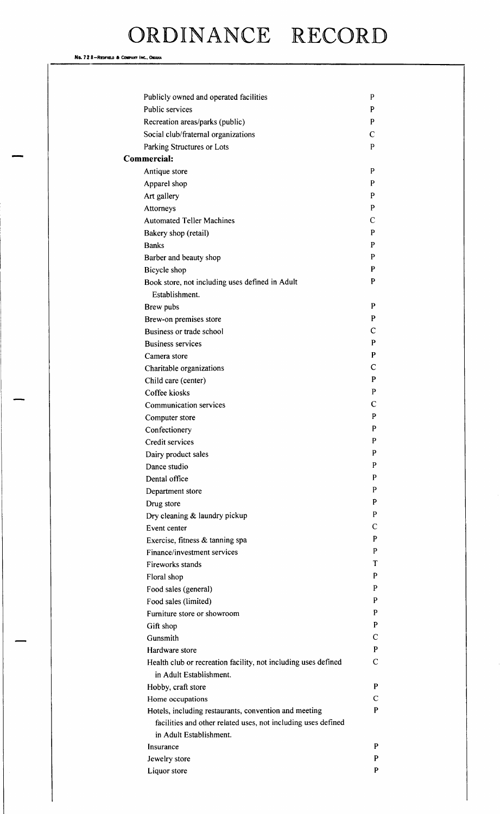No. 72 8-REDFIELD & COMPANY INC., OMAHA

| Publicly owned and operated facilities                         | P |
|----------------------------------------------------------------|---|
| <b>Public services</b>                                         | P |
| Recreation areas/parks (public)                                | P |
| Social club/fraternal organizations                            | C |
| Parking Structures or Lots                                     | P |
| Commercial:                                                    |   |
| Antique store                                                  | P |
| Apparel shop                                                   | P |
| Art gallery                                                    | P |
| Attorneys                                                      | P |
| <b>Automated Teller Machines</b>                               | C |
| Bakery shop (retail)                                           | P |
| <b>Banks</b>                                                   | P |
| Barber and beauty shop                                         | P |
| Bicycle shop                                                   | P |
| Book store, not including uses defined in Adult                | P |
| Establishment.                                                 |   |
| Brew pubs                                                      | P |
| Brew-on premises store                                         | P |
| Business or trade school                                       | С |
| <b>Business services</b>                                       | P |
| Camera store                                                   | P |
| Charitable organizations                                       | С |
| Child care (center)                                            | P |
| Coffee kiosks                                                  | P |
| <b>Communication services</b>                                  | C |
| Computer store                                                 | P |
| Confectionery                                                  | P |
| Credit services                                                | P |
| Dairy product sales                                            | ٢ |
| Dance studio                                                   | P |
| Dental office                                                  | P |
| Department store                                               | P |
| Drug store                                                     | P |
| Dry cleaning & laundry pickup                                  | P |
| Event center                                                   | С |
| Exercise, fitness & tanning spa                                | P |
| Finance/investment services                                    | P |
| Fireworks stands                                               | т |
| Floral shop                                                    | P |
| Food sales (general)                                           | P |
| Food sales (limited)                                           | P |
| Furniture store or showroom                                    | P |
| Gift shop                                                      | P |
| Gunsmith                                                       | C |
| Hardware store                                                 | P |
| Health club or recreation facility, not including uses defined | C |
| in Adult Establishment.                                        |   |
| Hobby, craft store                                             | P |
| Home occupations                                               | C |
| Hotels, including restaurants, convention and meeting          | P |
| facilities and other related uses, not including uses defined  |   |
| in Adult Establishment.                                        |   |
| Insurance                                                      | P |
| Jewelry store                                                  | P |
| Liquor store                                                   | P |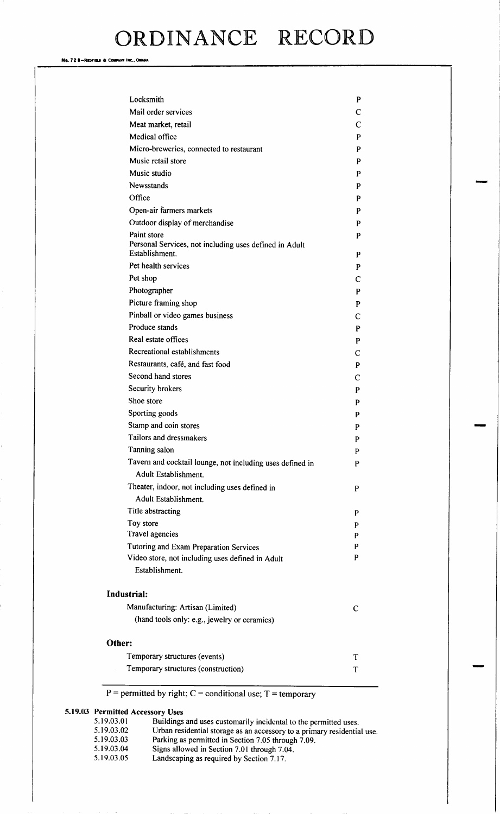Na. 72 8-Redfield & Company Inc., Omaha

| Locksmith                                                                | P      |
|--------------------------------------------------------------------------|--------|
| Mail order services                                                      | C      |
| Meat market, retail                                                      | C      |
| Medical office                                                           | P      |
| Micro-breweries, connected to restaurant                                 | P      |
| Music retail store                                                       | P      |
| Music studio                                                             | P      |
| Newsstands                                                               | P      |
| Office                                                                   | P      |
| Open-air farmers markets                                                 | P      |
| Outdoor display of merchandise                                           | P      |
| Paint store                                                              | P      |
| Personal Services, not including uses defined in Adult<br>Establishment. | P      |
| Pet health services                                                      | P      |
| Pet shop                                                                 | C      |
| Photographer                                                             | P      |
| Picture framing shop                                                     | P      |
| Pinball or video games business                                          | C      |
| Produce stands                                                           | P      |
| Real estate offices                                                      | P      |
| Recreational establishments                                              | C      |
| Restaurants, café, and fast food                                         | P      |
| Second hand stores                                                       | C      |
| Security brokers                                                         | P      |
| Shoe store                                                               | P      |
| Sporting goods                                                           | P      |
| Stamp and coin stores                                                    | P      |
| Tailors and dressmakers                                                  | P      |
| Tanning salon                                                            | P      |
| Tavern and cocktail lounge, not including uses defined in                | P      |
| Adult Establishment.                                                     |        |
| Theater, indoor, not including uses defined in                           | P      |
| Adult Establishment.<br>Title abstracting                                |        |
|                                                                          | P      |
| Toy store<br>Travel agencies                                             | P<br>P |
| Tutoring and Exam Preparation Services                                   | P      |
| Video store, not including uses defined in Adult                         | P      |
| Establishment.                                                           |        |
| <b>Industrial:</b>                                                       |        |
| Manufacturing: Artisan (Limited)                                         | C      |
| (hand tools only: e.g., jewelry or ceramics)                             |        |
| Other:                                                                   |        |
| Temporary structures (events)                                            | Т      |
| Temporary structures (construction)                                      | T      |

 $P =$  permitted by right;  $C =$  conditional use;  $T =$  temporary

## 5.19.03 Permitted Accessory Uses<br>5.19.03.01 Buildings

5. 19. 03. 01 Buildings and uses customarily incidental to the permitted uses.<br>5. 19. 03. 02 Urban residential storage as an accessory to a primary residential 5. 19.03.02 Urban residential storage as an accessory to a primary residential use. 5. 19. 03. 03 Parking as permitted in Section 7. 05 through 7. 09. 5. 19. 03. 04 Signs allowed in Section 7. 01 through 7. 04.<br>5. 19. 03. 05 Landscaping as required by Section 7. 17.

Landscaping as required by Section 7.17.